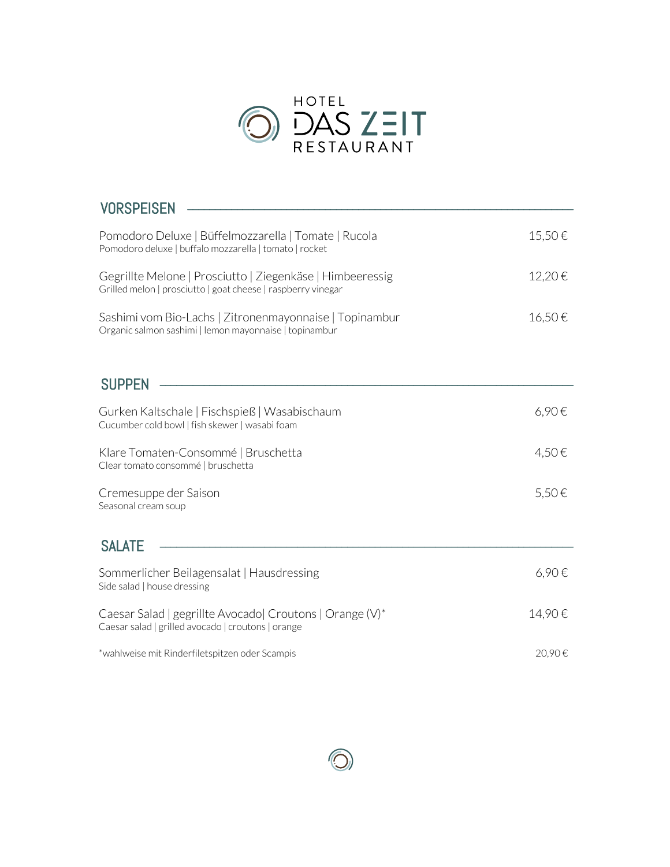

| <b>VORSPEISEN</b>                                                                                                         |        |
|---------------------------------------------------------------------------------------------------------------------------|--------|
| Pomodoro Deluxe   Büffelmozzarella   Tomate   Rucola<br>Pomodoro deluxe   buffalo mozzarella   tomato   rocket            | 15,50€ |
| Gegrillte Melone   Prosciutto   Ziegenkäse   Himbeeressig<br>Grilled melon   prosciutto   goat cheese   raspberry vinegar | 12,20€ |
| Sashimi vom Bio-Lachs   Zitronenmayonnaise   Topinambur<br>Organic salmon sashimi   lemon mayonnaise   topinambur         | 16,50€ |
| <b>SUPPEN</b>                                                                                                             |        |
| Gurken Kaltschale   Fischspieß   Wasabischaum<br>Cucumber cold bowl   fish skewer   wasabi foam                           | 6,90€  |
| Klare Tomaten-Consommé   Bruschetta<br>Clear tomato consommé   bruschetta                                                 | 4,50€  |
| Cremesuppe der Saison<br>Seasonal cream soup                                                                              | 5,50€  |
| <b>SALATE</b>                                                                                                             |        |
| Sommerlicher Beilagensalat   Hausdressing<br>Side salad   house dressing                                                  | 6,90€  |
| Caesar Salad   gegrillte Avocado  Croutons   Orange (V)*<br>Caesar salad   grilled avocado   croutons   orange            | 14,90€ |
| *wahlweise mit Rinderfiletspitzen oder Scampis                                                                            | 20,90€ |